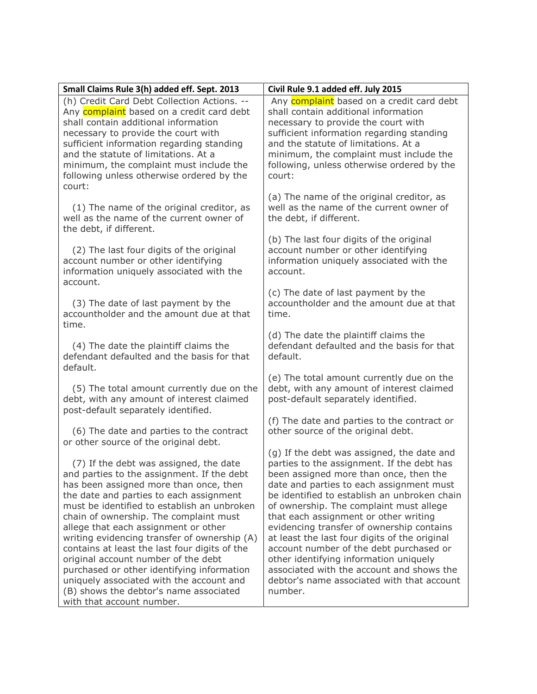| Small Claims Rule 3(h) added eff. Sept. 2013                                                                                                                                                                                                                                                                                                                   | Civil Rule 9.1 added eff. July 2015                                                                                                                                                                                                                                                                              |
|----------------------------------------------------------------------------------------------------------------------------------------------------------------------------------------------------------------------------------------------------------------------------------------------------------------------------------------------------------------|------------------------------------------------------------------------------------------------------------------------------------------------------------------------------------------------------------------------------------------------------------------------------------------------------------------|
| (h) Credit Card Debt Collection Actions. --<br>Any complaint based on a credit card debt<br>shall contain additional information<br>necessary to provide the court with<br>sufficient information regarding standing<br>and the statute of limitations. At a<br>minimum, the complaint must include the<br>following unless otherwise ordered by the<br>court: | Any complaint based on a credit card debt<br>shall contain additional information<br>necessary to provide the court with<br>sufficient information regarding standing<br>and the statute of limitations. At a<br>minimum, the complaint must include the<br>following, unless otherwise ordered by the<br>court: |
| (1) The name of the original creditor, as                                                                                                                                                                                                                                                                                                                      | (a) The name of the original creditor, as                                                                                                                                                                                                                                                                        |
| well as the name of the current owner of                                                                                                                                                                                                                                                                                                                       | well as the name of the current owner of                                                                                                                                                                                                                                                                         |
| the debt, if different.                                                                                                                                                                                                                                                                                                                                        | the debt, if different.                                                                                                                                                                                                                                                                                          |
| (2) The last four digits of the original<br>account number or other identifying<br>information uniquely associated with the                                                                                                                                                                                                                                    | (b) The last four digits of the original<br>account number or other identifying<br>information uniquely associated with the<br>account.                                                                                                                                                                          |
| account.<br>(3) The date of last payment by the<br>accountholder and the amount due at that<br>time.                                                                                                                                                                                                                                                           | (c) The date of last payment by the<br>accountholder and the amount due at that<br>time.                                                                                                                                                                                                                         |
| (4) The date the plaintiff claims the                                                                                                                                                                                                                                                                                                                          | (d) The date the plaintiff claims the                                                                                                                                                                                                                                                                            |
| defendant defaulted and the basis for that                                                                                                                                                                                                                                                                                                                     | defendant defaulted and the basis for that                                                                                                                                                                                                                                                                       |
| default.                                                                                                                                                                                                                                                                                                                                                       | default.                                                                                                                                                                                                                                                                                                         |
| (5) The total amount currently due on the                                                                                                                                                                                                                                                                                                                      | (e) The total amount currently due on the                                                                                                                                                                                                                                                                        |
| debt, with any amount of interest claimed                                                                                                                                                                                                                                                                                                                      | debt, with any amount of interest claimed                                                                                                                                                                                                                                                                        |
| post-default separately identified.                                                                                                                                                                                                                                                                                                                            | post-default separately identified.                                                                                                                                                                                                                                                                              |
| (6) The date and parties to the contract                                                                                                                                                                                                                                                                                                                       | (f) The date and parties to the contract or                                                                                                                                                                                                                                                                      |
| or other source of the original debt.                                                                                                                                                                                                                                                                                                                          | other source of the original debt.                                                                                                                                                                                                                                                                               |
| (7) If the debt was assigned, the date                                                                                                                                                                                                                                                                                                                         | (g) If the debt was assigned, the date and                                                                                                                                                                                                                                                                       |
| and parties to the assignment. If the debt                                                                                                                                                                                                                                                                                                                     | parties to the assignment. If the debt has                                                                                                                                                                                                                                                                       |
| has been assigned more than once, then                                                                                                                                                                                                                                                                                                                         | been assigned more than once, then the                                                                                                                                                                                                                                                                           |
| the date and parties to each assignment                                                                                                                                                                                                                                                                                                                        | date and parties to each assignment must                                                                                                                                                                                                                                                                         |
| must be identified to establish an unbroken                                                                                                                                                                                                                                                                                                                    | be identified to establish an unbroken chain                                                                                                                                                                                                                                                                     |
| chain of ownership. The complaint must                                                                                                                                                                                                                                                                                                                         | of ownership. The complaint must allege                                                                                                                                                                                                                                                                          |
| allege that each assignment or other                                                                                                                                                                                                                                                                                                                           | that each assignment or other writing                                                                                                                                                                                                                                                                            |
| writing evidencing transfer of ownership (A)                                                                                                                                                                                                                                                                                                                   | evidencing transfer of ownership contains                                                                                                                                                                                                                                                                        |
| contains at least the last four digits of the                                                                                                                                                                                                                                                                                                                  | at least the last four digits of the original                                                                                                                                                                                                                                                                    |
| original account number of the debt                                                                                                                                                                                                                                                                                                                            | account number of the debt purchased or                                                                                                                                                                                                                                                                          |
| purchased or other identifying information                                                                                                                                                                                                                                                                                                                     | other identifying information uniquely                                                                                                                                                                                                                                                                           |
| uniquely associated with the account and                                                                                                                                                                                                                                                                                                                       | associated with the account and shows the                                                                                                                                                                                                                                                                        |
| (B) shows the debtor's name associated                                                                                                                                                                                                                                                                                                                         | debtor's name associated with that account                                                                                                                                                                                                                                                                       |
| with that account number.                                                                                                                                                                                                                                                                                                                                      | number.                                                                                                                                                                                                                                                                                                          |